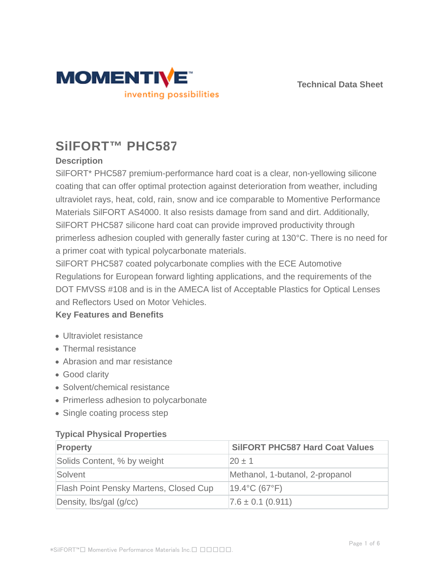



# **SilFORT™ PHC587**

## **Description**

SilFORT\* PHC587 premium-performance hard coat is a clear, non-yellowing silicone coating that can offer optimal protection against deterioration from weather, including ultraviolet rays, heat, cold, rain, snow and ice comparable to Momentive Performance Materials SilFORT AS4000. It also resists damage from sand and dirt. Additionally, SilFORT PHC587 silicone hard coat can provide improved productivity through primerless adhesion coupled with generally faster curing at 130°C. There is no need for a primer coat with typical polycarbonate materials.

SilFORT PHC587 coated polycarbonate complies with the ECE Automotive Regulations for European forward lighting applications, and the requirements of the DOT FMVSS #108 and is in the AMECA list of Acceptable Plastics for Optical Lenses and Reflectors Used on Motor Vehicles.

## **Key Features and Benefits**

- Ultraviolet resistance
- Thermal resistance
- Abrasion and mar resistance
- Good clarity
- Solvent/chemical resistance
- Primerless adhesion to polycarbonate
- Single coating process step

#### **Typical Physical Properties**

| Property                               | <b>SIIFORT PHC587 Hard Coat Values</b> |
|----------------------------------------|----------------------------------------|
| Solids Content, % by weight            | $20 \pm 1$                             |
| Solvent                                | Methanol, 1-butanol, 2-propanol        |
| Flash Point Pensky Martens, Closed Cup | $19.4$ °C (67°F)                       |
| Density, lbs/gal (g/cc)                | $7.6 \pm 0.1$ (0.911)                  |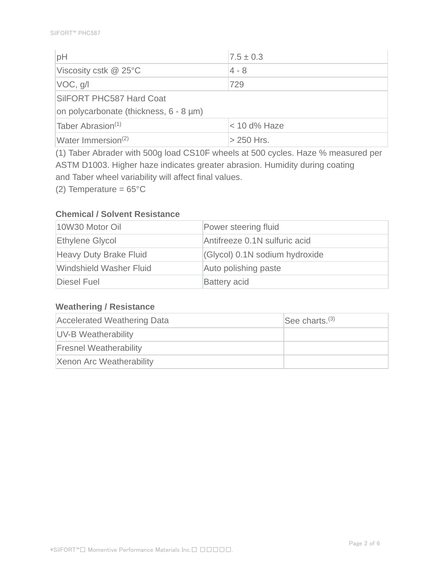| pH                                           | $7.5 \pm 0.3$  |  |
|----------------------------------------------|----------------|--|
| Viscosity cstk @ 25°C                        | $4 - 8$        |  |
| VOC, g/l                                     | 729            |  |
| SilFORT PHC587 Hard Coat                     |                |  |
| on polycarbonate (thickness, $6 - 8 \mu m$ ) |                |  |
| Taber Abrasion $(1)$                         | $<$ 10 d% Haze |  |
| Water Immersion <sup>(2)</sup>               | $>$ 250 Hrs.   |  |

(1) Taber Abrader with 500g load CS10F wheels at 500 cycles. Haze % measured per ASTM D1003. Higher haze indicates greater abrasion. Humidity during coating and Taber wheel variability will affect final values.

(2) Temperature =  $65^{\circ}$ C

### **Chemical / Solvent Resistance**

| 10W30 Motor Oil                | Power steering fluid           |
|--------------------------------|--------------------------------|
| Ethylene Glycol                | Antifreeze 0.1N sulfuric acid  |
| Heavy Duty Brake Fluid         | (Glycol) 0.1N sodium hydroxide |
| <b>Windshield Washer Fluid</b> | Auto polishing paste           |
| Diesel Fuel                    | <b>Battery acid</b>            |

#### **Weathering / Resistance**

| <b>Accelerated Weathering Data</b> | See charts. $(3)$ |
|------------------------------------|-------------------|
| UV-B Weatherability                |                   |
| <b>Fresnel Weatherability</b>      |                   |
| Xenon Arc Weatherability           |                   |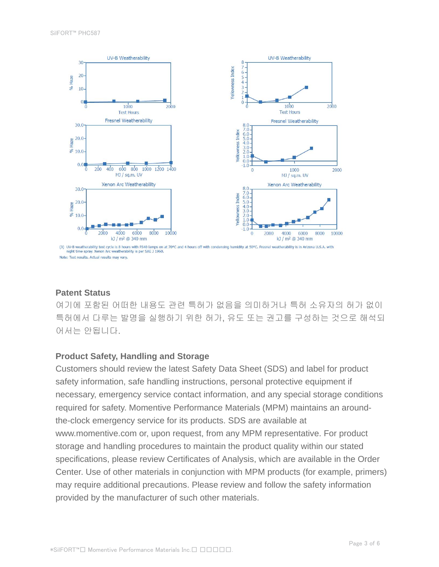

Note: Test results. Actual results may vary.

#### **Patent Status**

여기에 포함된 어떠한 내용도 관련 특허가 없음을 의미하거나 특허 소유자의 허가 없이 특허에서 다루는 발명을 실행하기 위한 허가, 유도 또는 권고를 구성하는 것으로 해석되 어서는 안됩니다.

#### **Product Safety, Handling and Storage**

Customers should review the latest Safety Data Sheet (SDS) and label for product safety information, safe handling instructions, personal protective equipment if necessary, emergency service contact information, and any special storage conditions required for safety. Momentive Performance Materials (MPM) maintains an aroundthe-clock emergency service for its products. SDS are available at www.momentive.com or, upon request, from any MPM representative. For product storage and handling procedures to maintain the product quality within our stated specifications, please review Certificates of Analysis, which are available in the Order Center. Use of other materials in conjunction with MPM products (for example, primers) may require additional precautions. Please review and follow the safety information provided by the manufacturer of such other materials.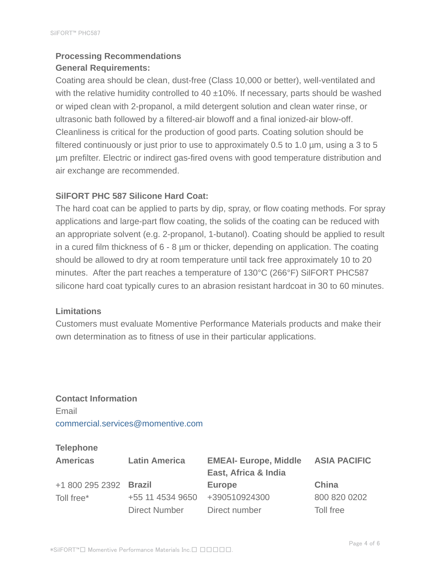# **Processing Recommendations General Requirements:**

Coating area should be clean, dust-free (Class 10,000 or better), well-ventilated and with the relative humidity controlled to 40  $\pm$ 10%. If necessary, parts should be washed or wiped clean with 2-propanol, a mild detergent solution and clean water rinse, or ultrasonic bath followed by a filtered-air blowoff and a final ionized-air blow-off. Cleanliness is critical for the production of good parts. Coating solution should be filtered continuously or just prior to use to approximately 0.5 to 1.0 µm, using a 3 to 5 µm prefilter. Electric or indirect gas-fired ovens with good temperature distribution and air exchange are recommended.

#### **SilFORT PHC 587 Silicone Hard Coat:**

The hard coat can be applied to parts by dip, spray, or flow coating methods. For spray applications and large-part flow coating, the solids of the coating can be reduced with an appropriate solvent (e.g. 2-propanol, 1-butanol). Coating should be applied to result in a cured film thickness of 6 - 8 µm or thicker, depending on application. The coating should be allowed to dry at room temperature until tack free approximately 10 to 20 minutes. After the part reaches a temperature of 130°C (266°F) SilFORT PHC587 silicone hard coat typically cures to an abrasion resistant hardcoat in 30 to 60 minutes.

#### **Limitations**

Customers must evaluate Momentive Performance Materials products and make their own determination as to fitness of use in their particular applications.

# **Contact Information** Email commercial.services@momentive.com

#### **Telephone**

| <b>Americas</b>        | <b>Latin America</b> | <b>EMEAI- Europe, Middle</b><br>East, Africa & India | <b>ASIA PACIFIC</b> |
|------------------------|----------------------|------------------------------------------------------|---------------------|
| +1 800 295 2392 Brazil |                      | <b>Europe</b>                                        | China               |
| Toll free*             | +55 11 4534 9650     | +390510924300                                        | 800 820 0202        |
|                        | Direct Number        | Direct number                                        | Toll free           |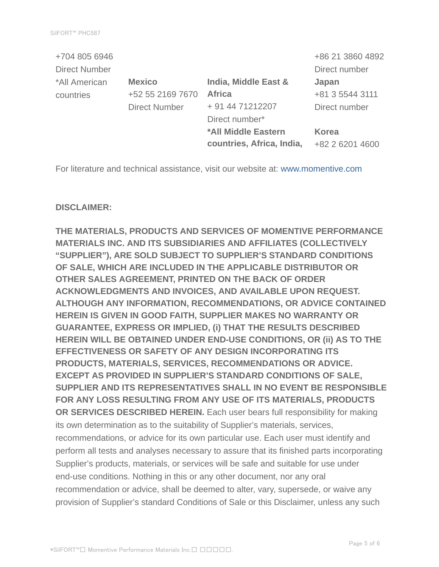| +704 805 6946        |                      |                           | +86 21 3860 4892 |
|----------------------|----------------------|---------------------------|------------------|
| <b>Direct Number</b> |                      |                           | Direct number    |
| *All American        | <b>Mexico</b>        | India, Middle East &      | Japan            |
| countries            | +52 55 2169 7670     | <b>Africa</b>             | +81 3 5544 3111  |
|                      | <b>Direct Number</b> | + 91 44 71212207          | Direct number    |
|                      |                      | Direct number*            |                  |
|                      |                      | *All Middle Eastern       | <b>Korea</b>     |
|                      |                      | countries, Africa, India, | +82 2 6201 4600  |

For literature and technical assistance, visit our website at: www.momentive.com

#### **DISCLAIMER:**

**THE MATERIALS, PRODUCTS AND SERVICES OF MOMENTIVE PERFORMANCE MATERIALS INC. AND ITS SUBSIDIARIES AND AFFILIATES (COLLECTIVELY "SUPPLIER"), ARE SOLD SUBJECT TO SUPPLIER'S STANDARD CONDITIONS OF SALE, WHICH ARE INCLUDED IN THE APPLICABLE DISTRIBUTOR OR OTHER SALES AGREEMENT, PRINTED ON THE BACK OF ORDER ACKNOWLEDGMENTS AND INVOICES, AND AVAILABLE UPON REQUEST. ALTHOUGH ANY INFORMATION, RECOMMENDATIONS, OR ADVICE CONTAINED HEREIN IS GIVEN IN GOOD FAITH, SUPPLIER MAKES NO WARRANTY OR GUARANTEE, EXPRESS OR IMPLIED, (i) THAT THE RESULTS DESCRIBED HEREIN WILL BE OBTAINED UNDER END-USE CONDITIONS, OR (ii) AS TO THE EFFECTIVENESS OR SAFETY OF ANY DESIGN INCORPORATING ITS PRODUCTS, MATERIALS, SERVICES, RECOMMENDATIONS OR ADVICE. EXCEPT AS PROVIDED IN SUPPLIER'S STANDARD CONDITIONS OF SALE, SUPPLIER AND ITS REPRESENTATIVES SHALL IN NO EVENT BE RESPONSIBLE FOR ANY LOSS RESULTING FROM ANY USE OF ITS MATERIALS, PRODUCTS OR SERVICES DESCRIBED HEREIN.** Each user bears full responsibility for making its own determination as to the suitability of Supplier's materials, services, recommendations, or advice for its own particular use. Each user must identify and perform all tests and analyses necessary to assure that its finished parts incorporating Supplier's products, materials, or services will be safe and suitable for use under end-use conditions. Nothing in this or any other document, nor any oral recommendation or advice, shall be deemed to alter, vary, supersede, or waive any provision of Supplier's standard Conditions of Sale or this Disclaimer, unless any such